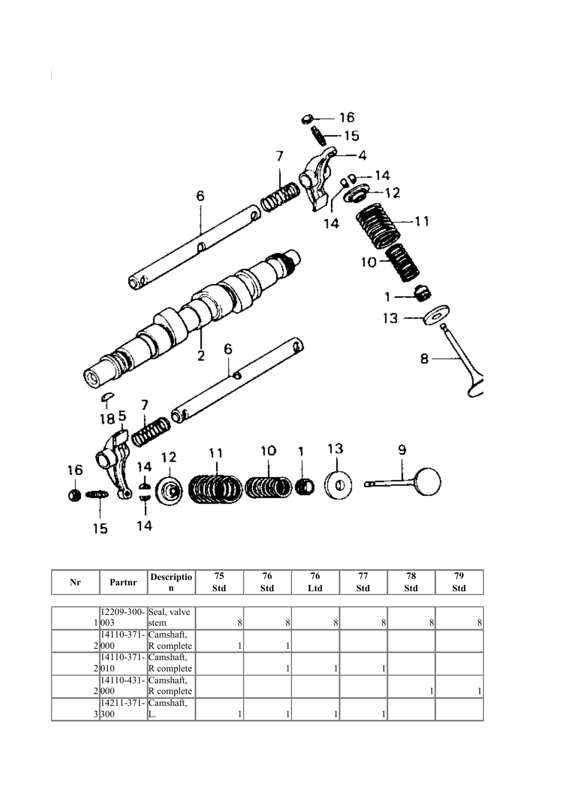

| Nr | Partnr                | <b>Descriptio</b>          | 75         | 76         | 76  | 77         | 78         | 79         |
|----|-----------------------|----------------------------|------------|------------|-----|------------|------------|------------|
|    |                       | n                          | <b>Std</b> | <b>Std</b> | Ltd | <b>Std</b> | <b>Std</b> | <b>Std</b> |
|    |                       |                            |            |            |     |            |            |            |
|    | 12209-300-Seal, valve |                            |            |            |     |            |            |            |
|    | 1 003                 | stem                       | 8          | 8          |     | 8          | 8          |            |
|    | 14110-371- Camshaft,  |                            |            |            |     |            |            |            |
|    | 2 000                 | $\vert$ R complete $\vert$ |            |            |     |            |            |            |
|    | 14110-371- Camshaft,  |                            |            |            |     |            |            |            |
|    | 2 010                 | $\vert$ R complete $\vert$ |            |            |     |            |            |            |
|    | 14110-431- Camshaft,  |                            |            |            |     |            |            |            |
|    | 2000                  | $\vert$ R complete $\vert$ |            |            |     |            |            |            |
|    | 14211-371- Camshaft,  |                            |            |            |     |            |            |            |
|    | 3 300                 |                            |            |            |     |            |            |            |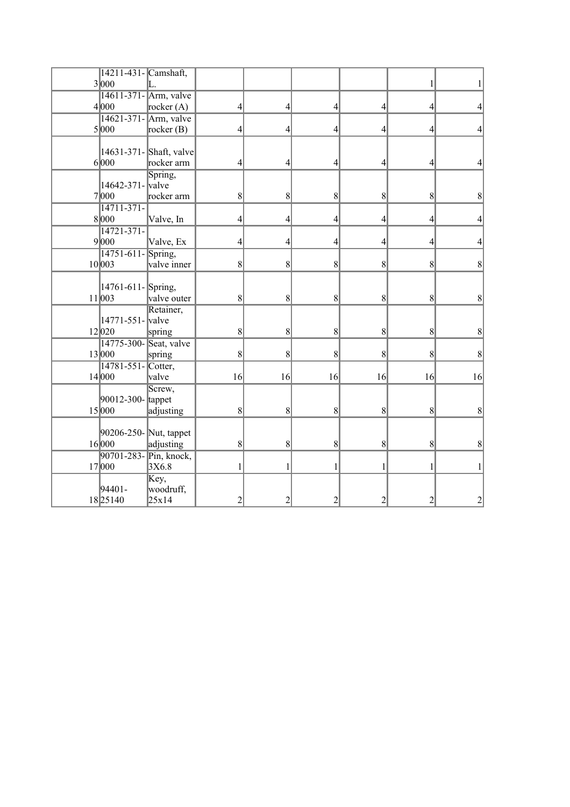| 14211-431- Camshaft,            |                                       |                 |                |                 |                |                 |                  |
|---------------------------------|---------------------------------------|-----------------|----------------|-----------------|----------------|-----------------|------------------|
| 3 000                           |                                       |                 |                |                 |                |                 |                  |
|                                 | 14611-371- Arm, valve                 |                 |                |                 |                |                 |                  |
| 4 000                           | rocker $(A)$                          | 4               | 4              | 4               | 4              | 4               | 4                |
|                                 | 14621-371- Arm, valve                 |                 |                |                 |                |                 |                  |
| 5 000                           | rocker $(B)$                          | 4               | 4              | 4               | 4              | 4               | 4                |
|                                 |                                       |                 |                |                 |                |                 |                  |
| 6 000                           | 14631-371- Shaft, valve<br>rocker arm | 4               | 4              | 4               | 4              | 4               | $\vert 4 \vert$  |
|                                 | Spring,                               |                 |                |                 |                |                 |                  |
| 14642-371- valve                |                                       |                 |                |                 |                |                 |                  |
| 7 000                           | rocker arm                            | $\vert 8 \vert$ | 8 <sup>0</sup> | $\vert 8 \vert$ | 8 <sup>0</sup> | 8 <sup>0</sup>  | $\vert 8 \vert$  |
| $14711 - 371$                   |                                       |                 |                |                 |                |                 |                  |
| 8000                            | Valve, In                             | 4               | 4              | 4               | 4              | 4               | $\vert 4 \vert$  |
| $14721 - 371 -$                 |                                       |                 |                |                 |                |                 |                  |
| 9 000                           | Valve, Ex                             | 4               | 4              | 4               | 4              | 4               | $\left 4\right $ |
| 14751-611-Spring,               |                                       |                 |                |                 |                |                 |                  |
| 10 003                          | valve inner                           | $\vert 8 \vert$ | 8              | $\vert 8 \vert$ | 8 <sup>0</sup> | 8               | 8                |
|                                 |                                       |                 |                |                 |                |                 |                  |
| 14761-611-Spring,               |                                       |                 |                |                 |                |                 |                  |
| 11 003                          | valve outer                           | 8               | 8              | $\vert 8 \vert$ | 8              | 8               | $\vert 8 \vert$  |
|                                 | Retainer,                             |                 |                |                 |                |                 |                  |
| 14771-551- valve                |                                       |                 |                |                 |                |                 |                  |
| 12 020                          | spring                                | $\vert 8 \vert$ | 8              | $\vert 8 \vert$ | 8              | 8               | 8                |
| 14775-300-                      | Seat, valve                           |                 |                |                 |                |                 |                  |
| 13000                           | spring                                | 8               | 8              | 8               | 8              | 8               | $\vert 8 \vert$  |
| $14781 - 551$                   | Cotter,                               |                 |                |                 |                |                 |                  |
| 14 000                          | valve                                 | 16              | 16             | 16              | 16             | 16              | 16               |
|                                 | Screw,                                |                 |                |                 |                |                 |                  |
| 90012-300- tappet               |                                       |                 |                |                 |                |                 |                  |
| 15000                           | adjusting                             | 8               | 8              | $\vert 8 \vert$ | 8 <sup>0</sup> | 8               | 8                |
|                                 |                                       |                 |                |                 |                |                 |                  |
| 90206-250- Nut, tappet<br>16000 |                                       |                 | 8              | $\vert 8 \vert$ | 8 <sup>0</sup> | $\vert 8 \vert$ | $\vert 8 \vert$  |
| 90701-283- Pin, knock,          | adjusting                             | 8 <sup>0</sup>  |                |                 |                |                 |                  |
| 17 000                          | 3X6.8                                 | 1               | 1              | 1               | 1              | 1               | $1\vert$         |
|                                 | Key,                                  |                 |                |                 |                |                 |                  |
| 94401-                          | woodruff,                             |                 |                |                 |                |                 |                  |
| 18 25140                        | 25x14                                 | $\overline{2}$  | 2              | $\overline{2}$  | $\overline{c}$ | $\overline{2}$  | $\overline{2}$   |
|                                 |                                       |                 |                |                 |                |                 |                  |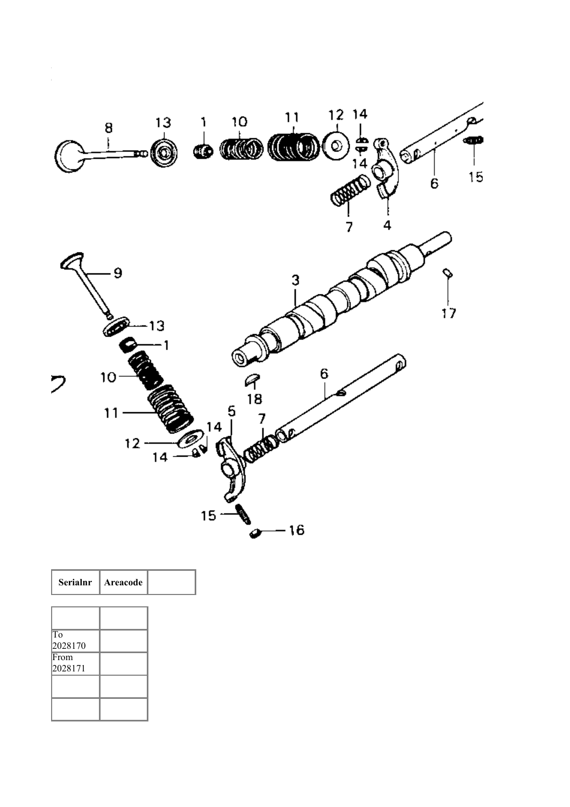

| Serialnr        | Areacode |  |
|-----------------|----------|--|
|                 |          |  |
|                 |          |  |
| To<br>2028170   |          |  |
| From<br>2028171 |          |  |
|                 |          |  |
|                 |          |  |